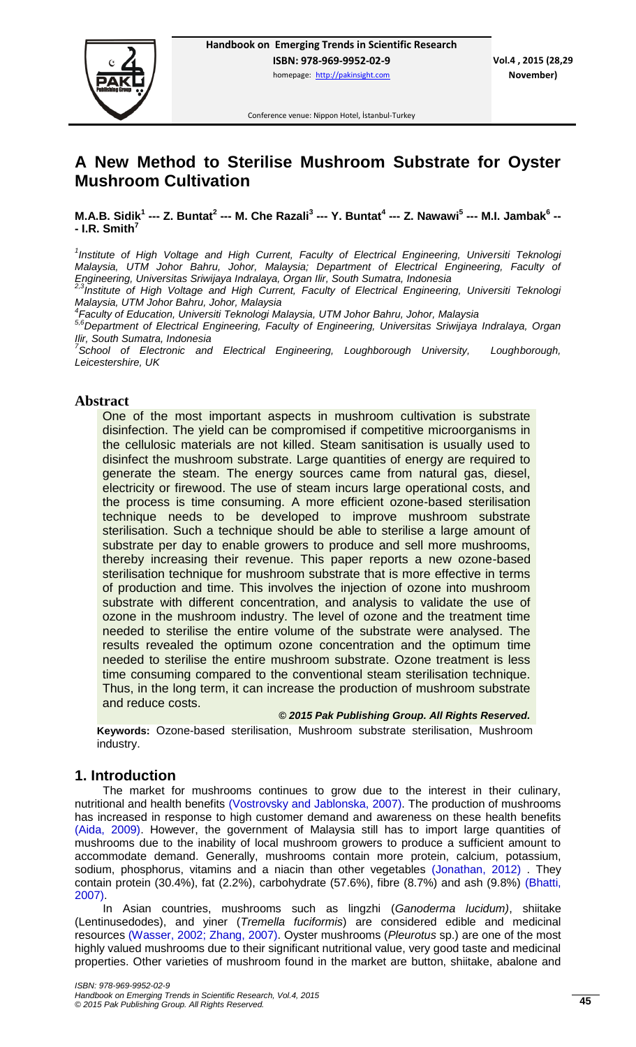

Conference venue: Nippon Hotel, İstanbul-Turkey

# **A New Method to Sterilise Mushroom Substrate for Oyster Mushroom Cultivation**

**M.A.B. Sidik<sup>1</sup> --- Z. Buntat<sup>2</sup> --- M. Che Razali<sup>3</sup> --- Y. Buntat<sup>4</sup> --- Z. Nawawi<sup>5</sup> --- M.I. Jambak<sup>6</sup> -- - I.R. Smith<sup>7</sup>**

<sup>1</sup> Institute of High Voltage and High Current, Faculty of Electrical Engineering, Universiti Teknologi *Malaysia, UTM Johor Bahru, Johor, Malaysia; Department of Electrical Engineering, Faculty of Engineering, Universitas Sriwijaya Indralaya, Organ Ilir, South Sumatra, Indonesia* 

*2,3Institute of High Voltage and High Current, Faculty of Electrical Engineering, Universiti Teknologi Malaysia, UTM Johor Bahru, Johor, Malaysia* 

*4 Faculty of Education, Universiti Teknologi Malaysia, UTM Johor Bahru, Johor, Malaysia* 

*5,6Department of Electrical Engineering, Faculty of Engineering, Universitas Sriwijaya Indralaya, Organ Ilir, South Sumatra, Indonesia* 

<sup>7</sup> School of Electronic and Electrical Engineering, Loughborough University, Loughborough, *Leicestershire, UK*

## **Abstract**

One of the most important aspects in mushroom cultivation is substrate disinfection. The yield can be compromised if competitive microorganisms in the cellulosic materials are not killed. Steam sanitisation is usually used to disinfect the mushroom substrate. Large quantities of energy are required to generate the steam. The energy sources came from natural gas, diesel, electricity or firewood. The use of steam incurs large operational costs, and the process is time consuming. A more efficient ozone-based sterilisation technique needs to be developed to improve mushroom substrate sterilisation. Such a technique should be able to sterilise a large amount of substrate per day to enable growers to produce and sell more mushrooms, thereby increasing their revenue. This paper reports a new ozone-based sterilisation technique for mushroom substrate that is more effective in terms of production and time. This involves the injection of ozone into mushroom substrate with different concentration, and analysis to validate the use of ozone in the mushroom industry. The level of ozone and the treatment time needed to sterilise the entire volume of the substrate were analysed. The results revealed the optimum ozone concentration and the optimum time needed to sterilise the entire mushroom substrate. Ozone treatment is less time consuming compared to the conventional steam sterilisation technique. Thus, in the long term, it can increase the production of mushroom substrate and reduce costs.

*© 2015 Pak Publishing Group. All Rights Reserved.*

**Keywords:** Ozone-based sterilisation, Mushroom substrate sterilisation, Mushroom industry.

# **1. Introduction**

The market for mushrooms continues to grow due to the interest in their culinary, nutritional and health benefits [\(Vostrovsky and Jablonska, 2007\)](#page-6-0). The production of mushrooms has increased in response to high customer demand and awareness on these health benefits [\(Aida, 2009\)](#page-5-0). However, the government of Malaysia still has to import large quantities of mushrooms due to the inability of local mushroom growers to produce a sufficient amount to accommodate demand. Generally, mushrooms contain more protein, calcium, potassium, sodium, phosphorus, vitamins and a niacin than other vegetables [\(Jonathan, 2012\)](#page-5-1) . They contain protein (30.4%), fat (2.2%), carbohydrate (57.6%), fibre (8.7%) and ash (9.8%) [\(Bhatti,](#page-5-2)  [2007\)](#page-5-2).

In Asian countries, mushrooms such as lingzhi (*Ganoderma lucidum)*, shiitake (Lentinusedodes), and yiner (*Tremella fuciformis*) are considered edible and medicinal resources [\(Wasser, 2002;](#page-6-1) [Zhang, 2007\)](#page-6-2). Oyster mushrooms (*Pleurotus* sp.) are one of the most highly valued mushrooms due to their significant nutritional value, very good taste and medicinal properties. Other varieties of mushroom found in the market are button, shiitake, abalone and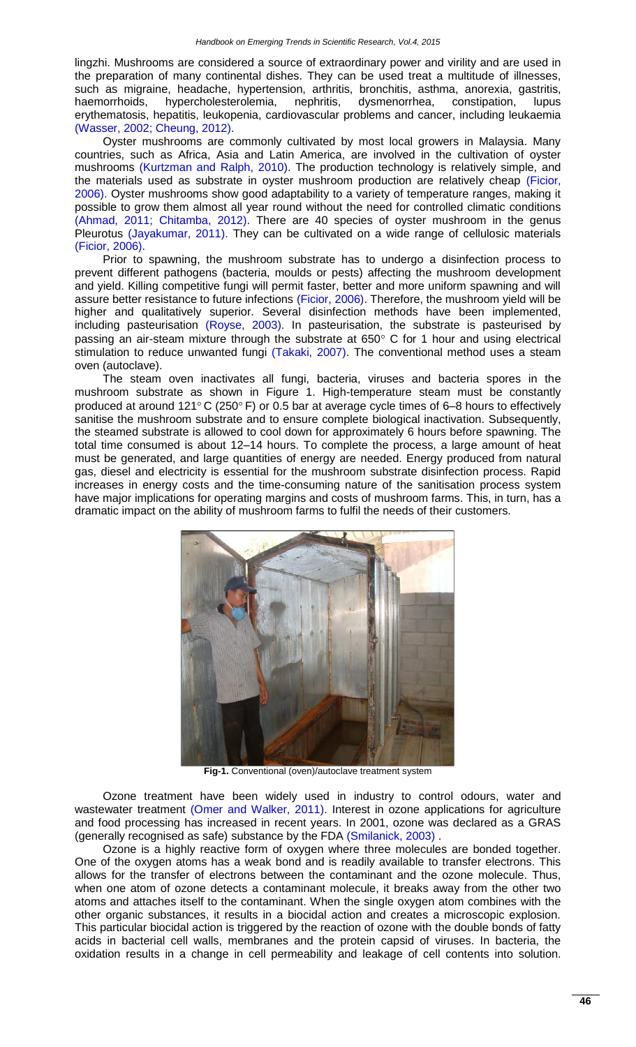lingzhi. Mushrooms are considered a source of extraordinary power and virility and are used in the preparation of many continental dishes. They can be used treat a multitude of illnesses, such as migraine, headache, hypertension, arthritis, bronchitis, asthma, anorexia, gastritis, haemorrhoids, hypercholesterolemia, nephritis, dysmenorrhea, constipation, lupus erythematosis, hepatitis, leukopenia, cardiovascular problems and cancer, including leukaemia [\(Wasser, 2002;](#page-6-1) [Cheung, 2012\)](#page-5-3).

Oyster mushrooms are commonly cultivated by most local growers in Malaysia. Many countries, such as Africa, Asia and Latin America, are involved in the cultivation of oyster mushrooms [\(Kurtzman and Ralph, 2010\)](#page-5-4). The production technology is relatively simple, and the materials used as substrate in oyster mushroom production are relatively cheap [\(Ficior,](#page-5-5)  [2006\)](#page-5-5). Oyster mushrooms show good adaptability to a variety of temperature ranges, making it possible to grow them almost all year round without the need for controlled climatic conditions [\(Ahmad, 2011;](#page-5-6) [Chitamba, 2012\)](#page-5-7). There are 40 species of oyster mushroom in the genus Pleurotus [\(Jayakumar, 2011\)](#page-5-8). They can be cultivated on a wide range of cellulosic materials [\(Ficior, 2006\)](#page-5-5).

Prior to spawning, the mushroom substrate has to undergo a disinfection process to prevent different pathogens (bacteria, moulds or pests) affecting the mushroom development and yield. Killing competitive fungi will permit faster, better and more uniform spawning and will assure better resistance to future infections [\(Ficior, 2006\)](#page-5-5). Therefore, the mushroom yield will be higher and qualitatively superior. Several disinfection methods have been implemented, including pasteurisation [\(Royse, 2003\)](#page-5-9). In pasteurisation, the substrate is pasteurised by passing an air-steam mixture through the substrate at  $650^\circ$  C for 1 hour and using electrical stimulation to reduce unwanted fungi [\(Takaki, 2007\)](#page-6-3). The conventional method uses a steam oven (autoclave).

The steam oven inactivates all fungi, bacteria, viruses and bacteria spores in the mushroom substrate as shown in Figure 1. High-temperature steam must be constantly produced at around 121 $\degree$ C (250 $\degree$  F) or 0.5 bar at average cycle times of 6–8 hours to effectively sanitise the mushroom substrate and to ensure complete biological inactivation. Subsequently, the steamed substrate is allowed to cool down for approximately 6 hours before spawning. The total time consumed is about 12–14 hours. To complete the process, a large amount of heat must be generated, and large quantities of energy are needed. Energy produced from natural gas, diesel and electricity is essential for the mushroom substrate disinfection process. Rapid increases in energy costs and the time-consuming nature of the sanitisation process system have major implications for operating margins and costs of mushroom farms. This, in turn, has a dramatic impact on the ability of mushroom farms to fulfil the needs of their customers.



**Fig-1.** Conventional (oven)/autoclave treatment system

Ozone treatment have been widely used in industry to control odours, water and wastewater treatment [\(Omer and Walker, 2011\)](#page-5-10). Interest in ozone applications for agriculture and food processing has increased in recent years. In 2001, ozone was declared as a GRAS (generally recognised as safe) substance by the FDA [\(Smilanick, 2003\)](#page-6-4) .

Ozone is a highly reactive form of oxygen where three molecules are bonded together. One of the oxygen atoms has a weak bond and is readily available to transfer electrons. This allows for the transfer of electrons between the contaminant and the ozone molecule. Thus, when one atom of ozone detects a contaminant molecule, it breaks away from the other two atoms and attaches itself to the contaminant. When the single oxygen atom combines with the other organic substances, it results in a biocidal action and creates a microscopic explosion. This particular biocidal action is triggered by the reaction of ozone with the double bonds of fatty acids in bacterial cell walls, membranes and the protein capsid of viruses. In bacteria, the oxidation results in a change in cell permeability and leakage of cell contents into solution.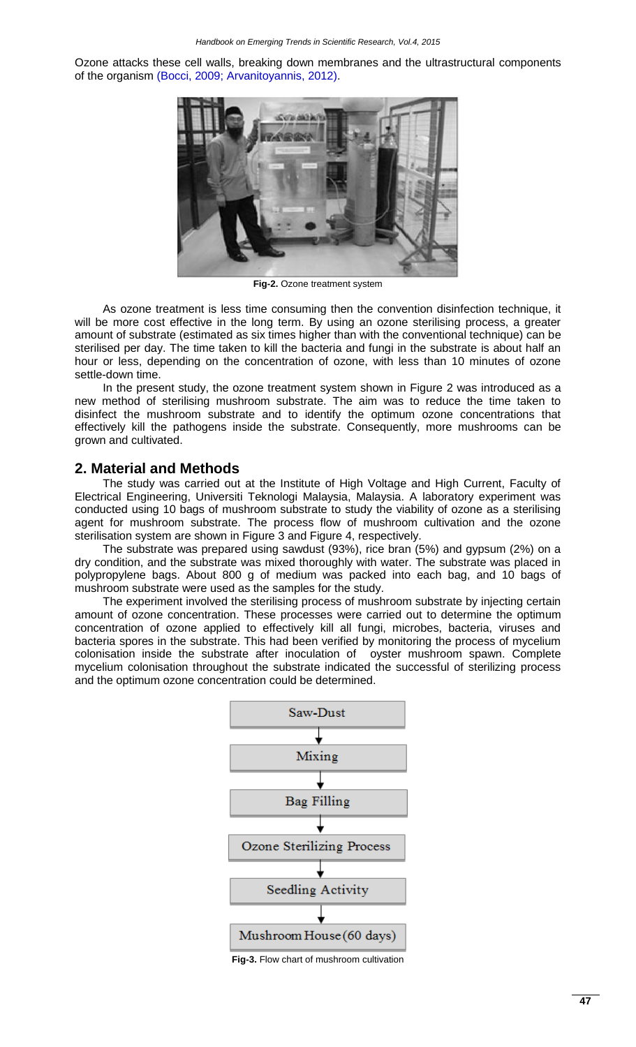Ozone attacks these cell walls, breaking down membranes and the ultrastructural components of the organism [\(Bocci, 2009;](#page-5-11) [Arvanitoyannis, 2012\)](#page-5-12).



**Fig-2.** Ozone treatment system

As ozone treatment is less time consuming then the convention disinfection technique, it will be more cost effective in the long term. By using an ozone sterilising process, a greater amount of substrate (estimated as six times higher than with the conventional technique) can be sterilised per day. The time taken to kill the bacteria and fungi in the substrate is about half an hour or less, depending on the concentration of ozone, with less than 10 minutes of ozone settle-down time.

In the present study, the ozone treatment system shown in Figure 2 was introduced as a new method of sterilising mushroom substrate. The aim was to reduce the time taken to disinfect the mushroom substrate and to identify the optimum ozone concentrations that effectively kill the pathogens inside the substrate. Consequently, more mushrooms can be grown and cultivated.

#### **2. Material and Methods**

The study was carried out at the Institute of High Voltage and High Current, Faculty of Electrical Engineering, Universiti Teknologi Malaysia, Malaysia. A laboratory experiment was conducted using 10 bags of mushroom substrate to study the viability of ozone as a sterilising agent for mushroom substrate. The process flow of mushroom cultivation and the ozone sterilisation system are shown in Figure 3 and Figure 4, respectively.

The substrate was prepared using sawdust (93%), rice bran (5%) and gypsum (2%) on a dry condition, and the substrate was mixed thoroughly with water. The substrate was placed in polypropylene bags. About 800 g of medium was packed into each bag, and 10 bags of mushroom substrate were used as the samples for the study.

The experiment involved the sterilising process of mushroom substrate by injecting certain amount of ozone concentration. These processes were carried out to determine the optimum concentration of ozone applied to effectively kill all fungi, microbes, bacteria, viruses and bacteria spores in the substrate. This had been verified by monitoring the process of mycelium colonisation inside the substrate after inoculation of oyster mushroom spawn. Complete mycelium colonisation throughout the substrate indicated the successful of sterilizing process and the optimum ozone concentration could be determined.



**Fig-3.** Flow chart of mushroom cultivation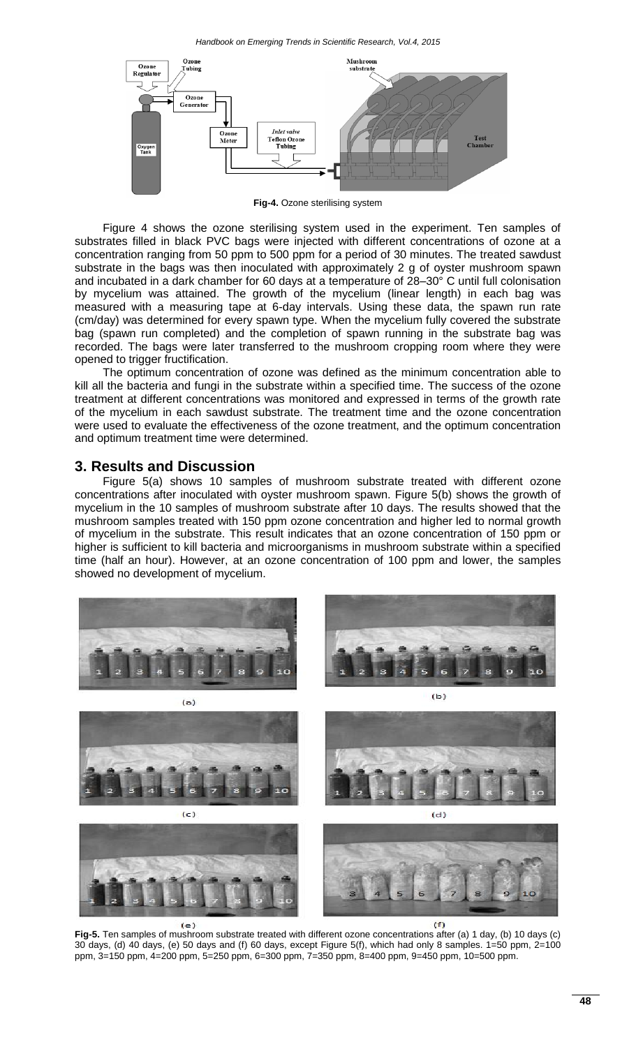

**Fig-4.** Ozone sterilising system

Figure 4 shows the ozone sterilising system used in the experiment. Ten samples of substrates filled in black PVC bags were injected with different concentrations of ozone at a concentration ranging from 50 ppm to 500 ppm for a period of 30 minutes. The treated sawdust substrate in the bags was then inoculated with approximately 2 g of oyster mushroom spawn and incubated in a dark chamber for 60 days at a temperature of 28–30° C until full colonisation by mycelium was attained. The growth of the mycelium (linear length) in each bag was measured with a measuring tape at 6-day intervals. Using these data, the spawn run rate (cm/day) was determined for every spawn type. When the mycelium fully covered the substrate bag (spawn run completed) and the completion of spawn running in the substrate bag was recorded. The bags were later transferred to the mushroom cropping room where they were opened to trigger fructification.

The optimum concentration of ozone was defined as the minimum concentration able to kill all the bacteria and fungi in the substrate within a specified time. The success of the ozone treatment at different concentrations was monitored and expressed in terms of the growth rate of the mycelium in each sawdust substrate. The treatment time and the ozone concentration were used to evaluate the effectiveness of the ozone treatment, and the optimum concentration and optimum treatment time were determined.

#### **3. Results and Discussion**

Figure 5(a) shows 10 samples of mushroom substrate treated with different ozone concentrations after inoculated with oyster mushroom spawn. Figure 5(b) shows the growth of mycelium in the 10 samples of mushroom substrate after 10 days. The results showed that the mushroom samples treated with 150 ppm ozone concentration and higher led to normal growth of mycelium in the substrate. This result indicates that an ozone concentration of 150 ppm or higher is sufficient to kill bacteria and microorganisms in mushroom substrate within a specified time (half an hour). However, at an ozone concentration of 100 ppm and lower, the samples showed no development of mycelium.



**Fig-5.** Ten samples of mushroom substrate treated with different ozone concentrations after (a) 1 day, (b) 10 days (c) 30 days, (d) 40 days, (e) 50 days and (f) 60 days, except Figure 5(f), which had only 8 samples. 1=50 ppm, 2=100 ppm, 3=150 ppm, 4=200 ppm, 5=250 ppm, 6=300 ppm, 7=350 ppm, 8=400 ppm, 9=450 ppm, 10=500 ppm.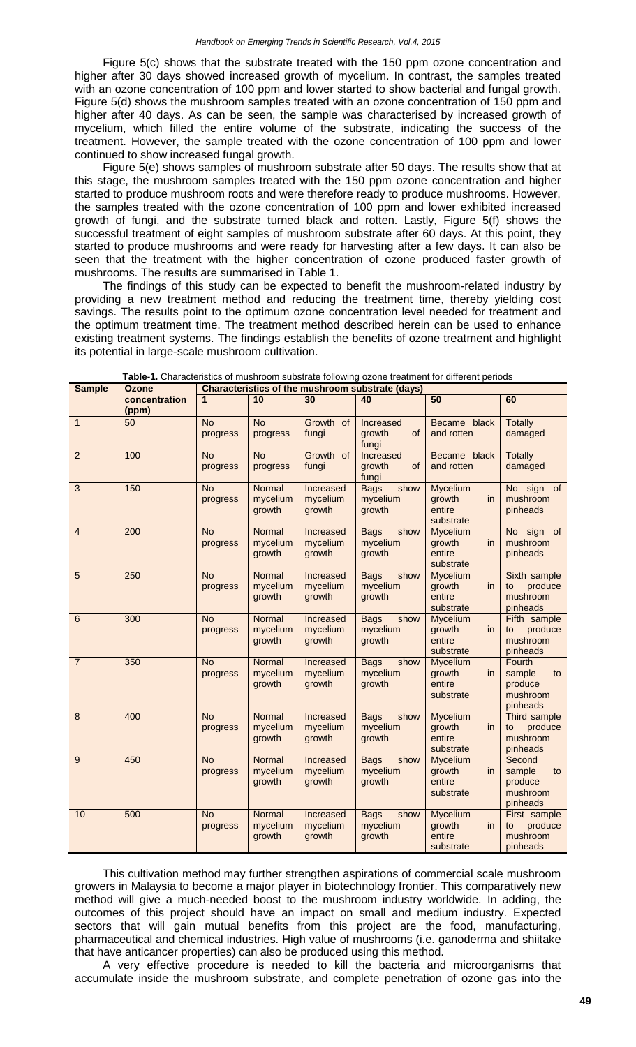Figure 5(c) shows that the substrate treated with the 150 ppm ozone concentration and higher after 30 days showed increased growth of mycelium. In contrast, the samples treated with an ozone concentration of 100 ppm and lower started to show bacterial and fungal growth. Figure 5(d) shows the mushroom samples treated with an ozone concentration of 150 ppm and higher after 40 days. As can be seen, the sample was characterised by increased growth of mycelium, which filled the entire volume of the substrate, indicating the success of the treatment. However, the sample treated with the ozone concentration of 100 ppm and lower continued to show increased fungal growth.

Figure 5(e) shows samples of mushroom substrate after 50 days. The results show that at this stage, the mushroom samples treated with the 150 ppm ozone concentration and higher started to produce mushroom roots and were therefore ready to produce mushrooms. However, the samples treated with the ozone concentration of 100 ppm and lower exhibited increased growth of fungi, and the substrate turned black and rotten. Lastly, Figure 5(f) shows the successful treatment of eight samples of mushroom substrate after 60 days. At this point, they started to produce mushrooms and were ready for harvesting after a few days. It can also be seen that the treatment with the higher concentration of ozone produced faster growth of mushrooms. The results are summarised in Table 1.

The findings of this study can be expected to benefit the mushroom-related industry by providing a new treatment method and reducing the treatment time, thereby yielding cost savings. The results point to the optimum ozone concentration level needed for treatment and the optimum treatment time. The treatment method described herein can be used to enhance existing treatment systems. The findings establish the benefits of ozone treatment and highlight its potential in large-scale mushroom cultivation.

| <b>Sample</b>  | <b>Ozone</b>           | <b>Characteristics of the mushroom substrate (days)</b> |                              |                                 |                                           |                                                         |                                                           |
|----------------|------------------------|---------------------------------------------------------|------------------------------|---------------------------------|-------------------------------------------|---------------------------------------------------------|-----------------------------------------------------------|
|                | concentration<br>(ppm) | 1                                                       | 10                           | 30                              | 40                                        | 50                                                      | 60                                                        |
| $\mathbf{1}$   | 50                     | <b>No</b><br>progress                                   | <b>No</b><br>progress        | Growth of<br>fungi              | Increased<br>growth<br><b>of</b><br>fungi | Became black<br>and rotten                              | <b>Totally</b><br>damaged                                 |
| $\overline{2}$ | 100                    | <b>No</b><br>progress                                   | <b>No</b><br>progress        | Growth of<br>fungi              | Increased<br>growth<br><b>of</b><br>fungi | Became black<br>and rotten                              | <b>Totally</b><br>damaged                                 |
| $\overline{3}$ | 150                    | <b>No</b><br>progress                                   | Normal<br>mycelium<br>growth | Increased<br>mycelium<br>growth | show<br><b>Bags</b><br>mycelium<br>growth | <b>Mycelium</b><br>growth<br>in.<br>entire<br>substrate | No sign<br>of<br>mushroom<br>pinheads                     |
| 4              | 200                    | <b>No</b><br>progress                                   | Normal<br>mycelium<br>growth | Increased<br>mycelium<br>growth | <b>Bags</b><br>show<br>mycelium<br>growth | <b>Mycelium</b><br>growth<br>in.<br>entire<br>substrate | No sign of<br>mushroom<br>pinheads                        |
| 5              | 250                    | <b>No</b><br>progress                                   | Normal<br>mycelium<br>growth | Increased<br>mycelium<br>growth | <b>Bags</b><br>show<br>mycelium<br>growth | <b>Mycelium</b><br>growth<br>in.<br>entire<br>substrate | Sixth sample<br>produce<br>to<br>mushroom<br>pinheads     |
| 6              | 300                    | <b>No</b><br>progress                                   | Normal<br>mycelium<br>growth | Increased<br>mycelium<br>growth | <b>Bags</b><br>show<br>mycelium<br>growth | <b>Mycelium</b><br>growth<br>in.<br>entire<br>substrate | Fifth sample<br>produce<br>to<br>mushroom<br>pinheads     |
| $\overline{7}$ | 350                    | <b>No</b><br>progress                                   | Normal<br>mycelium<br>growth | Increased<br>mycelium<br>growth | <b>Bags</b><br>show<br>mycelium<br>growth | <b>Mycelium</b><br>growth<br>in.<br>entire<br>substrate | Fourth<br>sample<br>to<br>produce<br>mushroom<br>pinheads |
| 8              | 400                    | <b>No</b><br>progress                                   | Normal<br>mycelium<br>growth | Increased<br>mycelium<br>growth | <b>Bags</b><br>show<br>mycelium<br>growth | <b>Mycelium</b><br>growth<br>in.<br>entire<br>substrate | Third sample<br>produce<br>to<br>mushroom<br>pinheads     |
| 9              | 450                    | <b>No</b><br>progress                                   | Normal<br>mycelium<br>growth | Increased<br>mycelium<br>growth | <b>Bags</b><br>show<br>mycelium<br>growth | <b>Mycelium</b><br>growth<br>in<br>entire<br>substrate  | Second<br>sample<br>to<br>produce<br>mushroom<br>pinheads |
| 10             | 500                    | <b>No</b><br>progress                                   | Normal<br>mycelium<br>growth | Increased<br>mycelium<br>growth | <b>Bags</b><br>show<br>mycelium<br>growth | <b>Mycelium</b><br>growth<br>in<br>entire<br>substrate  | First sample<br>produce<br>to<br>mushroom<br>pinheads     |

**Table-1.** Characteristics of mushroom substrate following ozone treatment for different periods

This cultivation method may further strengthen aspirations of commercial scale mushroom growers in Malaysia to become a major player in biotechnology frontier. This comparatively new method will give a much-needed boost to the mushroom industry worldwide. In adding, the outcomes of this project should have an impact on small and medium industry. Expected sectors that will gain mutual benefits from this project are the food, manufacturing, pharmaceutical and chemical industries. High value of mushrooms (i.e. ganoderma and shiitake that have anticancer properties) can also be produced using this method.

A very effective procedure is needed to kill the bacteria and microorganisms that accumulate inside the mushroom substrate, and complete penetration of ozone gas into the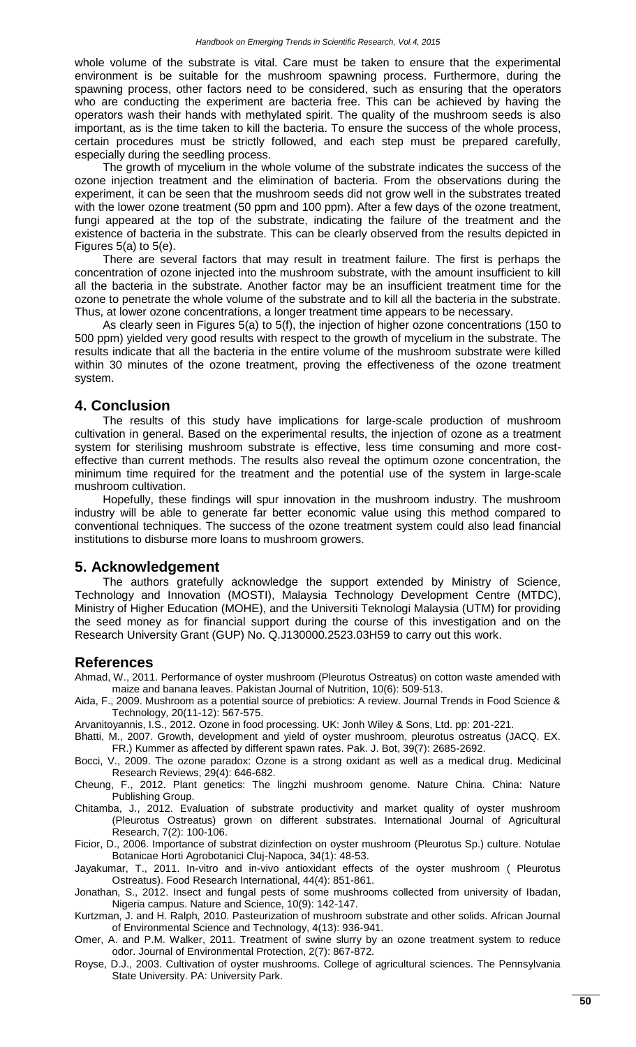whole volume of the substrate is vital. Care must be taken to ensure that the experimental environment is be suitable for the mushroom spawning process. Furthermore, during the spawning process, other factors need to be considered, such as ensuring that the operators who are conducting the experiment are bacteria free. This can be achieved by having the operators wash their hands with methylated spirit. The quality of the mushroom seeds is also important, as is the time taken to kill the bacteria. To ensure the success of the whole process, certain procedures must be strictly followed, and each step must be prepared carefully, especially during the seedling process.

The growth of mycelium in the whole volume of the substrate indicates the success of the ozone injection treatment and the elimination of bacteria. From the observations during the experiment, it can be seen that the mushroom seeds did not grow well in the substrates treated with the lower ozone treatment (50 ppm and 100 ppm). After a few days of the ozone treatment, fungi appeared at the top of the substrate, indicating the failure of the treatment and the existence of bacteria in the substrate. This can be clearly observed from the results depicted in Figures  $5(a)$  to  $5(e)$ .

There are several factors that may result in treatment failure. The first is perhaps the concentration of ozone injected into the mushroom substrate, with the amount insufficient to kill all the bacteria in the substrate. Another factor may be an insufficient treatment time for the ozone to penetrate the whole volume of the substrate and to kill all the bacteria in the substrate. Thus, at lower ozone concentrations, a longer treatment time appears to be necessary.

As clearly seen in Figures 5(a) to 5(f), the injection of higher ozone concentrations (150 to 500 ppm) yielded very good results with respect to the growth of mycelium in the substrate. The results indicate that all the bacteria in the entire volume of the mushroom substrate were killed within 30 minutes of the ozone treatment, proving the effectiveness of the ozone treatment system.

#### **4. Conclusion**

The results of this study have implications for large-scale production of mushroom cultivation in general. Based on the experimental results, the injection of ozone as a treatment system for sterilising mushroom substrate is effective, less time consuming and more costeffective than current methods. The results also reveal the optimum ozone concentration, the minimum time required for the treatment and the potential use of the system in large-scale mushroom cultivation.

Hopefully, these findings will spur innovation in the mushroom industry. The mushroom industry will be able to generate far better economic value using this method compared to conventional techniques. The success of the ozone treatment system could also lead financial institutions to disburse more loans to mushroom growers.

## **5. Acknowledgement**

The authors gratefully acknowledge the support extended by Ministry of Science, Technology and Innovation (MOSTI), Malaysia Technology Development Centre (MTDC), Ministry of Higher Education (MOHE), and the Universiti Teknologi Malaysia (UTM) for providing the seed money as for financial support during the course of this investigation and on the Research University Grant (GUP) No. Q.J130000.2523.03H59 to carry out this work.

## **References**

<span id="page-5-6"></span>Ahmad, W., 2011. Performance of oyster mushroom (Pleurotus Ostreatus) on cotton waste amended with maize and banana leaves. Pakistan Journal of Nutrition, 10(6): 509-513.

- <span id="page-5-0"></span>Aida, F., 2009. Mushroom as a potential source of prebiotics: A review. Journal Trends in Food Science & Technology, 20(11-12): 567-575.
- <span id="page-5-12"></span>Arvanitoyannis, I.S., 2012. Ozone in food processing. UK: Jonh Wiley & Sons, Ltd. pp: 201-221.
- <span id="page-5-2"></span>Bhatti, M., 2007. Growth, development and yield of oyster mushroom, pleurotus ostreatus (JACQ. EX. FR.) Kummer as affected by different spawn rates. Pak. J. Bot, 39(7): 2685-2692.
- <span id="page-5-11"></span>Bocci, V., 2009. The ozone paradox: Ozone is a strong oxidant as well as a medical drug. Medicinal Research Reviews, 29(4): 646-682.
- <span id="page-5-3"></span>Cheung, F., 2012. Plant genetics: The lingzhi mushroom genome. Nature China. China: Nature Publishing Group.
- <span id="page-5-7"></span>Chitamba, J., 2012. Evaluation of substrate productivity and market quality of oyster mushroom (Pleurotus Ostreatus) grown on different substrates. International Journal of Agricultural Research, 7(2): 100-106.
- <span id="page-5-5"></span>Ficior, D., 2006. Importance of substrat dizinfection on oyster mushroom (Pleurotus Sp.) culture. Notulae Botanicae Horti Agrobotanici Cluj-Napoca, 34(1): 48-53.
- <span id="page-5-8"></span>Jayakumar, T., 2011. In-vitro and in-vivo antioxidant effects of the oyster mushroom ( Pleurotus Ostreatus). Food Research International, 44(4): 851-861.
- <span id="page-5-1"></span>Jonathan, S., 2012. Insect and fungal pests of some mushrooms collected from university of Ibadan, Nigeria campus. Nature and Science, 10(9): 142-147.
- <span id="page-5-4"></span>Kurtzman, J. and H. Ralph, 2010. Pasteurization of mushroom substrate and other solids. African Journal of Environmental Science and Technology, 4(13): 936-941.
- <span id="page-5-10"></span>Omer, A. and P.M. Walker, 2011. Treatment of swine slurry by an ozone treatment system to reduce odor. Journal of Environmental Protection, 2(7): 867-872.
- <span id="page-5-9"></span>Royse, D.J., 2003. Cultivation of oyster mushrooms. College of agricultural sciences. The Pennsylvania State University. PA: University Park.